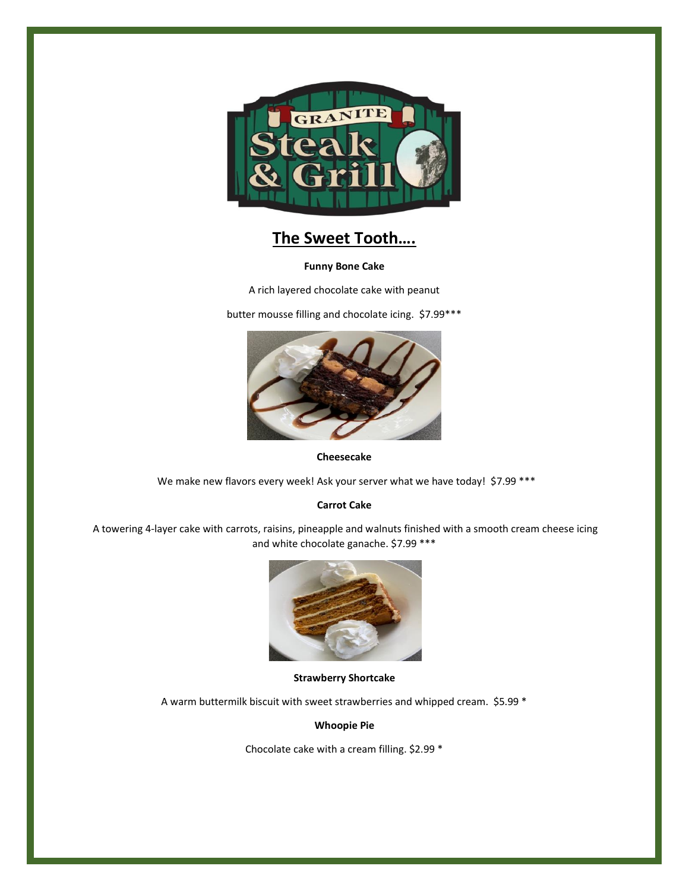

# **The Sweet Tooth….**

## **Funny Bone Cake**

A rich layered chocolate cake with peanut

butter mousse filling and chocolate icing. \$7.99\*\*\*



**Cheesecake**

We make new flavors every week! Ask your server what we have today! \$7.99 \*\*\*

# **Carrot Cake**

A towering 4-layer cake with carrots, raisins, pineapple and walnuts finished with a smooth cream cheese icing and white chocolate ganache. \$7.99 \*\*\*



# **Strawberry Shortcake**

A warm buttermilk biscuit with sweet strawberries and whipped cream. \$5.99 \*

**Whoopie Pie**

Chocolate cake with a cream filling. \$2.99 \*